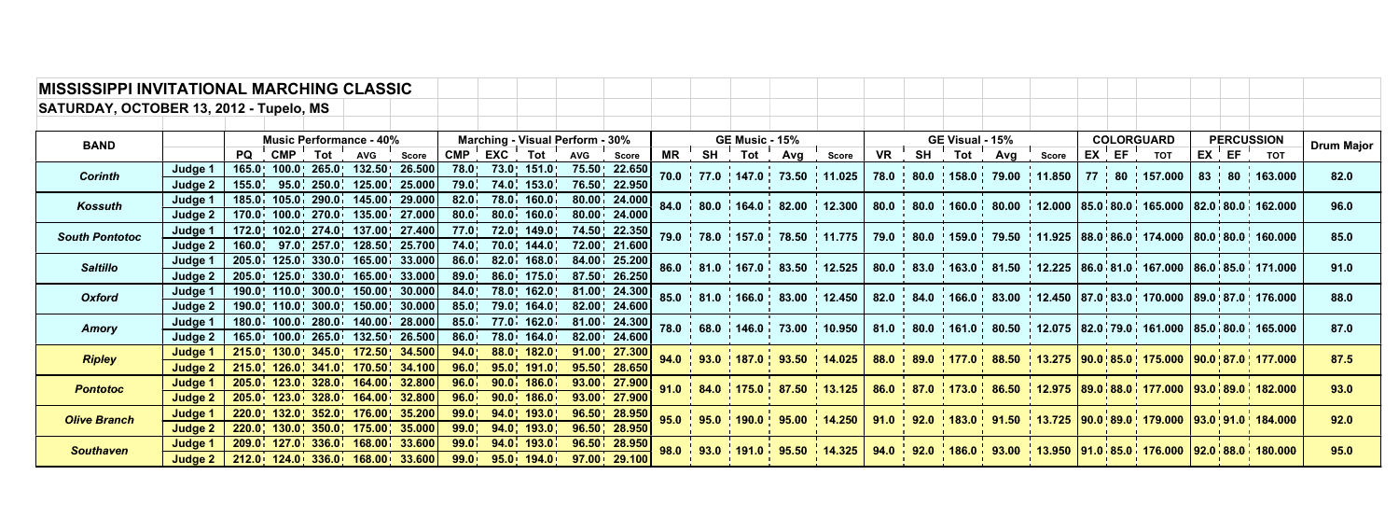| <b>MISSISSIPPI INVITATIONAL MARCHING CLASSIC</b> |                    |                                |  |                                                                        |  |                                 |             |                             |           |                                    |    |                                                                                      |  |              |                                                         |  |  |                                                                                                     |                     |                   |           |                                                                                                                                                                                                              |  |                     |                                                                                                                                                                                                              |      |
|--------------------------------------------------|--------------------|--------------------------------|--|------------------------------------------------------------------------|--|---------------------------------|-------------|-----------------------------|-----------|------------------------------------|----|--------------------------------------------------------------------------------------|--|--------------|---------------------------------------------------------|--|--|-----------------------------------------------------------------------------------------------------|---------------------|-------------------|-----------|--------------------------------------------------------------------------------------------------------------------------------------------------------------------------------------------------------------|--|---------------------|--------------------------------------------------------------------------------------------------------------------------------------------------------------------------------------------------------------|------|
| SATURDAY, OCTOBER 13, 2012 - Tupelo, MS          |                    |                                |  |                                                                        |  |                                 |             |                             |           |                                    |    |                                                                                      |  |              |                                                         |  |  |                                                                                                     |                     |                   |           |                                                                                                                                                                                                              |  |                     |                                                                                                                                                                                                              |      |
|                                                  |                    |                                |  |                                                                        |  |                                 |             |                             |           |                                    |    |                                                                                      |  |              |                                                         |  |  |                                                                                                     |                     |                   |           |                                                                                                                                                                                                              |  |                     |                                                                                                                                                                                                              |      |
| <b>BAND</b>                                      |                    | <b>Music Performance - 40%</b> |  |                                                                        |  | Marching - Visual Perform - 30% |             |                             |           | <b>GE Music - 15%</b>              |    |                                                                                      |  |              | GE Visual - 15%                                         |  |  |                                                                                                     |                     | <b>COLORGUARD</b> |           | <b>PERCUSSION</b>                                                                                                                                                                                            |  | <b>Drum Major</b>   |                                                                                                                                                                                                              |      |
|                                                  |                    | <b>PQ</b>                      |  | CMP Tot AVG Score                                                      |  |                                 | CMP EXC Tot |                             | AVG Score |                                    | MR |                                                                                      |  | SH Tot Avg ' | <b>Score</b>                                            |  |  |                                                                                                     | VR SH Tot Avg Score |                   | $EX$ $EF$ | <b>TOT</b>                                                                                                                                                                                                   |  | $EX \cdot EF \cdot$ |                                                                                                                                                                                                              |      |
| <b>Corinth</b>                                   | Judge 1            |                                |  | 165.0   100.0   265.0   132.50   26.500                                |  |                                 |             | 78.0 73.0 151.0             |           | 75.50 22.650                       |    |                                                                                      |  |              | 70.0   77.0   147.0   73.50   11.025                    |  |  |                                                                                                     |                     |                   |           | 78.0   80.0   158.0   79.00   11.850   77   80   157.000                                                                                                                                                     |  |                     | 83   80   163.000                                                                                                                                                                                            | 82.0 |
|                                                  | Judge 2            |                                |  | 155.0, 95.0, 250.0, 125.00, 25.000                                     |  |                                 |             | $79.0$ ; $74.0$ ; $153.0$ ; |           | 76.50   22.950                     |    |                                                                                      |  |              |                                                         |  |  |                                                                                                     |                     |                   |           |                                                                                                                                                                                                              |  |                     |                                                                                                                                                                                                              |      |
| Kossuth                                          | Judge 1            |                                |  | 185.0 105.0 290.0 145.00 29.000                                        |  | 82.0 <sup>1</sup>               |             | 78.0 160.0                  |           | 80.00 24.000                       |    | $84.0$ $80.0$ $164.0$ $82.00$ $12.300$                                               |  |              |                                                         |  |  | 80.0 80.0 $\div$ 160.0 $\div$ 80.00 $\div$ 12.000 85.0 80.0 $\div$ 165.000 82.0 80.0 $\div$ 162.000 |                     |                   |           |                                                                                                                                                                                                              |  |                     | 96.0                                                                                                                                                                                                         |      |
|                                                  | Judge 2            |                                |  | 170.0 100.0 270.0 135.00 27.000                                        |  | 80.0 <sub>1</sub>               | 80.0        | 160.0                       |           | 80.00 24.000                       |    |                                                                                      |  |              |                                                         |  |  |                                                                                                     |                     |                   |           |                                                                                                                                                                                                              |  |                     |                                                                                                                                                                                                              |      |
| <b>South Pontotoc</b>                            | Judge 1            |                                |  | 172.0 102.0 274.0 137.00 27.400                                        |  | 77.0                            |             | 72.0¦ 149.0¦                |           | 74.50 22.350                       |    |                                                                                      |  |              | 79.0 78.0 157.0 78.50 11.775                            |  |  | 79.0   80.0   159.0   79.50   11.925   88.0   86.0   174.000   80.0   80.0   160.000                |                     |                   |           |                                                                                                                                                                                                              |  |                     |                                                                                                                                                                                                              | 85.0 |
|                                                  | Judge 2            |                                |  | 160.0, 97.0, 257.0, 128.50, 25.700                                     |  | 74.0 <sub>1</sub>               |             | 70.0¦ 144.0                 |           | 72.00   21.600                     |    |                                                                                      |  |              |                                                         |  |  |                                                                                                     |                     |                   |           |                                                                                                                                                                                                              |  |                     |                                                                                                                                                                                                              |      |
| <b>Saltillo</b>                                  | Judge 1<br>Judge 2 |                                |  | $205.0$ 125.0 330.0 165.00 33.000<br>205.0 125.0 330.0 165.00 33.000   |  | 86.0 <sub>1</sub><br>89.0       |             | 82.0 168.0<br>86.0 175.0    |           | 84.00 25.200<br>87.50 26.250       |    |                                                                                      |  |              | 86.0 81.0 167.0 83.50 12.525                            |  |  |                                                                                                     |                     |                   |           |                                                                                                                                                                                                              |  |                     | 80.0 $\frac{1}{2}$ 83.0 $\frac{1}{2}$ 163.0 $\frac{1}{2}$ 81.50 $\frac{1}{2}$ 12.225 $\frac{1}{2}$ 86.0 $\frac{1}{2}$ 81.0 $\frac{1}{2}$ 167.000 $\frac{1}{2}$ 86.0 $\frac{1}{2}$ 85.0 $\frac{1}{2}$ 171.000 | 91.0 |
|                                                  |                    |                                |  |                                                                        |  |                                 |             |                             |           |                                    |    |                                                                                      |  |              |                                                         |  |  |                                                                                                     |                     |                   |           |                                                                                                                                                                                                              |  |                     |                                                                                                                                                                                                              |      |
| <b>Oxford</b>                                    | Judge 1<br>Judge 2 |                                |  | 190.0 110.0 300.0 150.00 30.000<br>190.0, 110.0, 300.0, 150.00, 30.000 |  | 84.0<br>85.0 <sub>1</sub>       |             | 78.0 162.0<br>79.0 164.0    |           | 81.00   24.300  <br>82.00   24.600 |    |                                                                                      |  |              |                                                         |  |  |                                                                                                     |                     |                   |           | 85.0   81.0   166.0   83.00   12.450   82.0   84.0   166.0   83.00   12.450  87.0   83.0   170.000  89.0   87.0   176.000                                                                                    |  |                     |                                                                                                                                                                                                              | 88.0 |
|                                                  | Judge 1            |                                |  | 180.0 100.0 280.0 140.00 28.000                                        |  | 85.0 <sub>1</sub>               |             | 77.0 162.0                  |           | $81.00$ , 24.300                   |    |                                                                                      |  |              |                                                         |  |  |                                                                                                     |                     |                   |           |                                                                                                                                                                                                              |  |                     |                                                                                                                                                                                                              |      |
| Amory                                            | Judge 2            |                                |  | 165.0 100.0 265.0 132.50 26.500                                        |  | $86.0^+$                        |             | 78.0 164.0                  |           | 82.00 24.600                       |    |                                                                                      |  |              | 68.0 $\vert$ 146.0 $\vert$ 73.00 $\vert$ 10.950 $\vert$ |  |  |                                                                                                     |                     |                   |           | 81.0 $\frac{1}{1}$ 80.0 $\frac{1}{1}$ 161.0 $\frac{1}{1}$ 80.50 $\frac{1}{1}$ 12.075 $\frac{1}{1}$ 82.0 $\frac{1}{1}$ 79.0 $\frac{1}{1}$ 161.000 $\frac{1}{1}$ 85.0 $\frac{1}{1}$ 80.0 $\frac{1}{1}$ 165.000 |  |                     |                                                                                                                                                                                                              | 87.0 |
|                                                  | Judge 1            |                                |  | 215.0 130.0 345.0 172.50 34.500                                        |  | 94.0                            |             | $88.0$   182.0              |           | $91.00$   27.300                   |    |                                                                                      |  |              |                                                         |  |  |                                                                                                     |                     |                   |           |                                                                                                                                                                                                              |  |                     |                                                                                                                                                                                                              |      |
| <b>Ripley</b>                                    | Judge 2            |                                |  | 215.0 126.0 341.0 170.50 34.100                                        |  | 96.0                            |             | $95.0$ , 191.0              |           | 95.50   28.650                     |    |                                                                                      |  |              |                                                         |  |  |                                                                                                     |                     |                   |           |                                                                                                                                                                                                              |  |                     | 94.0 93.0 187.0 93.50 14.025 88.0 89.0 177.0 88.50 13.275 90.0 85.0 175.000 90.0 87.0 177.000                                                                                                                | 87.5 |
|                                                  | Judge 1            |                                |  | 205.0 123.0 328.0 164.00 32.800                                        |  | 96.0                            |             | $90.0$ , 186.0              |           | 93.00 27.900                       |    |                                                                                      |  |              |                                                         |  |  |                                                                                                     |                     |                   |           | 86.0 87.0 173.0 86.50 12.975 89.0 88.0 177.000 93.0 89.0 182.000                                                                                                                                             |  |                     |                                                                                                                                                                                                              | 93.0 |
| <b>Pontotoc</b>                                  | Judge 2            |                                |  | 205.0 123.0 328.0 164.00 32.800                                        |  | 96.0 <sub>1</sub>               |             | $90.0$ , 186.0              |           | $93.00$   27.900                   |    | 91.0 $\frac{1}{2}$ 84.0 $\frac{1}{2}$ 175.0 $\frac{1}{2}$ 87.50 $\frac{1}{2}$ 13.125 |  |              |                                                         |  |  |                                                                                                     |                     |                   |           |                                                                                                                                                                                                              |  |                     |                                                                                                                                                                                                              |      |
| <b>Olive Branch</b>                              | Judge 1            |                                |  | $220.0$ 132.0 352.0 176.00 35.200                                      |  | 99.0                            |             | $94.0$   193.0              |           | 96.50   28.950                     |    |                                                                                      |  |              | 95.0   95.0   190.0   95.00   14.250                    |  |  |                                                                                                     |                     |                   |           |                                                                                                                                                                                                              |  |                     | 91.0   92.0   183.0   91.50   13.725   90.0   89.0   179.000   93.0   91.0   184.000                                                                                                                         | 92.0 |
|                                                  | Judge 2            |                                |  | $220.0$ , 130.0, 350.0, 175.00, 35.000                                 |  |                                 |             | $99.0$ ; $94.0$ ; $193.0$ ; |           | 96.50   28.950                     |    |                                                                                      |  |              |                                                         |  |  |                                                                                                     |                     |                   |           |                                                                                                                                                                                                              |  |                     |                                                                                                                                                                                                              |      |
| <b>Southaven</b>                                 | Judge 1            |                                |  | 209.0 127.0 336.0 168.00 33.600                                        |  | 99.0 <sup>1</sup>               |             | $94.0$ $193.0$              |           | $96.50$ $28.950$                   |    |                                                                                      |  |              |                                                         |  |  |                                                                                                     |                     |                   |           | 98.0 33.0 191.0 35.50 14.325 34.0 32.0 186.0 33.00 13.950 91.0 85.0 176.000 92.0 88.0 180.000                                                                                                                |  |                     |                                                                                                                                                                                                              | 95.0 |
|                                                  | Judge 2            |                                |  | $212.0$ 124.0 336.0 168.00 33.600                                      |  |                                 |             | $99.0$ , $95.0$ , $194.0$   |           | $97.00 \cdot 29.100$               |    |                                                                                      |  |              |                                                         |  |  |                                                                                                     |                     |                   |           |                                                                                                                                                                                                              |  |                     |                                                                                                                                                                                                              |      |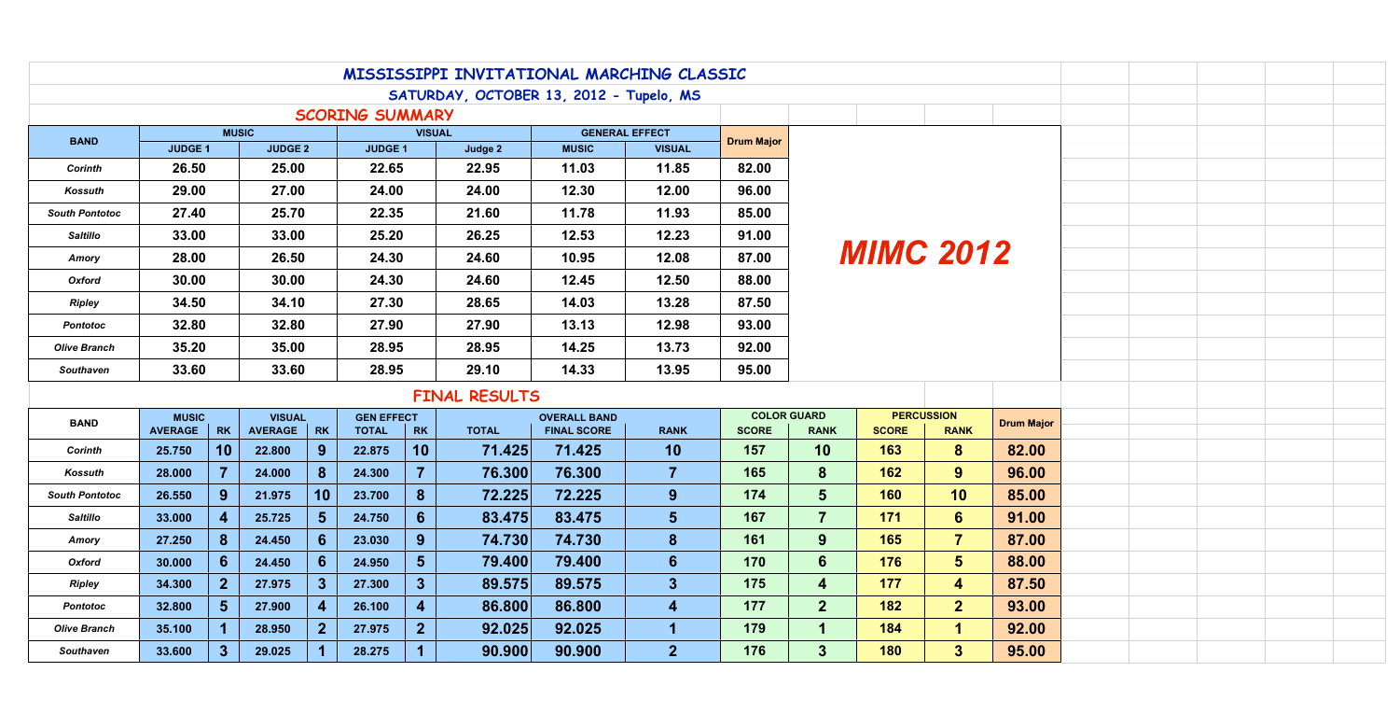|                                                                                  | MISSISSIPPI INVITATIONAL MARCHING CLASSIC |                |                |                  |                   |                |              |                     |                |                    |                   |              |                   |       |  |  |
|----------------------------------------------------------------------------------|-------------------------------------------|----------------|----------------|------------------|-------------------|----------------|--------------|---------------------|----------------|--------------------|-------------------|--------------|-------------------|-------|--|--|
| SATURDAY, OCTOBER 13, 2012 - Tupelo, MS                                          |                                           |                |                |                  |                   |                |              |                     |                |                    |                   |              |                   |       |  |  |
| <b>SCORING SUMMARY</b><br><b>MUSIC</b><br><b>VISUAL</b><br><b>GENERAL EFFECT</b> |                                           |                |                |                  |                   |                |              |                     |                |                    |                   |              |                   |       |  |  |
| <b>BAND</b>                                                                      | <b>JUDGE 1</b>                            |                | <b>JUDGE 2</b> |                  | <b>JUDGE 1</b>    |                | Judge 2      | <b>MUSIC</b>        | <b>VISUAL</b>  | <b>Drum Major</b>  |                   |              |                   |       |  |  |
| <b>Corinth</b>                                                                   | 26.50                                     |                | 25.00          |                  | 22.65             |                | 22.95        | 11.03               | 11.85          | 82.00              |                   |              |                   |       |  |  |
| Kossuth                                                                          | 29.00                                     |                | 27.00          |                  | 24.00             |                | 24.00        | 12.30               | 12.00          | 96.00              |                   |              |                   |       |  |  |
| <b>South Pontotoc</b>                                                            | 27.40                                     |                | 25.70          |                  | 22.35             |                | 21.60        | 11.78               | 11.93          | 85.00              | <b>MIMC 2012</b>  |              |                   |       |  |  |
| <b>Saltillo</b>                                                                  | 33.00                                     | 33.00          |                |                  | 25.20             |                | 26.25        | 12.53               | 12.23          | 91.00              |                   |              |                   |       |  |  |
| Amory                                                                            | 28.00                                     |                | 26.50          |                  | 24.30             |                | 24.60        | 10.95               | 12.08          | 87.00              |                   |              |                   |       |  |  |
| <b>Oxford</b>                                                                    | 30.00                                     |                | 30.00          |                  | 24.30             |                | 24.60        | 12.45               | 12.50          | 88.00              |                   |              |                   |       |  |  |
| <b>Ripley</b>                                                                    | 34.50                                     |                | 34.10          |                  | 27.30             |                | 28.65        | 14.03               | 13.28          | 87.50              |                   |              |                   |       |  |  |
| <b>Pontotoc</b>                                                                  |                                           | 32.80<br>32.80 |                |                  | 27.90             |                | 27.90        | 13.13               | 12.98          | 93.00              |                   |              |                   |       |  |  |
| <b>Olive Branch</b>                                                              | 35.20                                     |                | 35.00          |                  | 28.95             |                | 28.95        | 14.25               | 13.73          | 92.00              |                   |              |                   |       |  |  |
| <b>Southaven</b>                                                                 | 33.60                                     |                | 33.60          |                  | 28.95             |                | 29.10        | 14.33               | 13.95          | 95.00              |                   |              |                   |       |  |  |
|                                                                                  | FINAL RESULTS                             |                |                |                  |                   |                |              |                     |                |                    |                   |              |                   |       |  |  |
| <b>BAND</b>                                                                      | <b>MUSIC</b><br><b>VISUAL</b>             |                |                |                  | <b>GEN EFFECT</b> |                |              | <b>OVERALL BAND</b> |                | <b>COLOR GUARD</b> | <b>PERCUSSION</b> |              | <b>Drum Major</b> |       |  |  |
|                                                                                  | AVERAGE                                   | <b>RK</b>      | <b>AVERAGE</b> | <b>RK</b>        | <b>TOTAL</b>      | <b>RK</b>      | <b>TOTAL</b> | <b>FINAL SCORE</b>  | <b>RANK</b>    | <b>SCORE</b>       | <b>RANK</b>       | <b>SCORE</b> | <b>RANK</b>       |       |  |  |
| <b>Corinth</b>                                                                   | 25.750                                    | 10             | 22.800         | 9                | 22.875            | 10             | 71.425       | 71.425              | 10             | 157                | 10                | 163          | $\bf{8}$          | 82.00 |  |  |
| Kossuth                                                                          | 28.000                                    |                | 24.000         | 8 <sup>°</sup>   | 24.300            |                | 76.300       | 76.300              | 7              | 165                | 8                 | 162          | 9                 | 96.00 |  |  |
| <b>South Pontotoc</b>                                                            | 26.550                                    | 9              | 21.975         | 10 <sup>°</sup>  | 23.700            | 8 <sup>°</sup> | 72.225       | 72.225              | 9 <sup>°</sup> | 174                | 5                 | 160          | 10                | 85.00 |  |  |
| <b>Saltillo</b>                                                                  | 33.000                                    | $\overline{4}$ | 25.725         | 5 <sup>5</sup>   | 24.750            | 6 <sup>1</sup> | 83.475       | 83.475              | 5 <sup>5</sup> | 167                | $\overline{7}$    | 171          | $6^{\circ}$       | 91.00 |  |  |
| Amory                                                                            | 27.250                                    | 8 <sup>°</sup> | 24.450         | $6 \overline{6}$ | 23.030            | 9 <sup>°</sup> | 74.730       | 74.730              | 8 <sup>°</sup> | 161                | 9 <sup>°</sup>    | 165          | $\overline{7}$    | 87.00 |  |  |
| Oxford                                                                           | 30.000                                    | 6 <sup>°</sup> | 24.450         | $6\overline{6}$  | 24.950            | 5 <sup>5</sup> | 79.400       | 79.400              | 6              | 170                | 6                 | 176          | 5 <sup>5</sup>    | 88.00 |  |  |
| Ripley                                                                           | 34.300                                    | 2 <sup>2</sup> | 27.975         | 3                | 27.300            | 3 <sup>5</sup> | 89.575       | 89.575              | 3 <sup>1</sup> | 175                | $\overline{4}$    | 177          | $\overline{4}$    | 87.50 |  |  |
| <b>Pontotoc</b>                                                                  | 32.800                                    | 5 <sup>5</sup> | 27.900         | $\overline{4}$   | 26.100            | 4              | 86.800       | 86.800              | 4              | 177                | 2 <sup>1</sup>    | 182          | 2 <sup>1</sup>    | 93.00 |  |  |
| <b>Olive Branch</b>                                                              | 35.100                                    |                | 28.950         | $\mathbf{2}$     | 27.975            | 2 <sub>1</sub> | 92.025       | 92.025              | 1              | 179                |                   | 184          | 1                 | 92.00 |  |  |
| <b>Southaven</b>                                                                 | 33.600                                    | 3 <sup>°</sup> | 29.025         |                  | 28.275            |                | 90.900       | 90.900              | 2 <sub>1</sub> | 176                | 3 <sup>°</sup>    | <b>180</b>   | 3 <sup>1</sup>    | 95.00 |  |  |